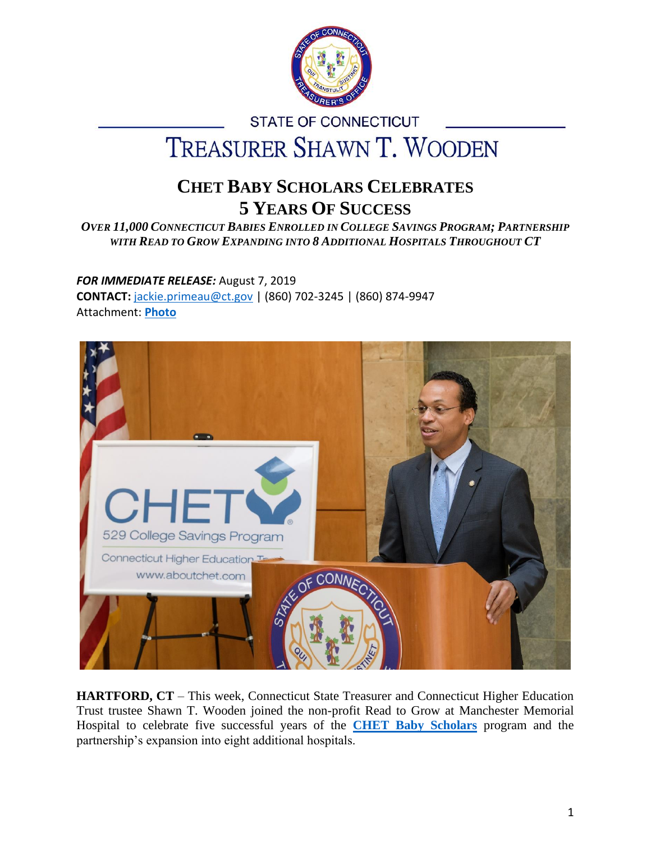

# **STATE OF CONNECTICUT** TREASURER SHAWN T. WOODEN

# **CHET BABY SCHOLARS CELEBRATES 5 YEARS OF SUCCESS**

*OVER 11,000 CONNECTICUT BABIES ENROLLED IN COLLEGE SAVINGS PROGRAM; PARTNERSHIP WITH READ TO GROW EXPANDING INTO 8 ADDITIONAL HOSPITALS THROUGHOUT CT*

# *FOR IMMEDIATE RELEASE:* August 7, 2019

**CONTACT:** [jackie.primeau@ct.gov](mailto:jackie.primeau@ct.gov) | (860) 702-3245 | (860) 874-9947 Attachment: **[Photo](https://ott.ct.gov/images/CHETadvancePhotos2019/CHET-Baby-Scholars-Treasurer%20Wooden.jpg)**



**HARTFORD, CT** – This week, Connecticut State Treasurer and Connecticut Higher Education Trust trustee Shawn T. Wooden joined the non-profit Read to Grow at Manchester Memorial Hospital to celebrate five successful years of the **[CHET Baby Scholars](https://www.aboutchet.com/buzz/baby.shtml)** program and the partnership's expansion into eight additional hospitals.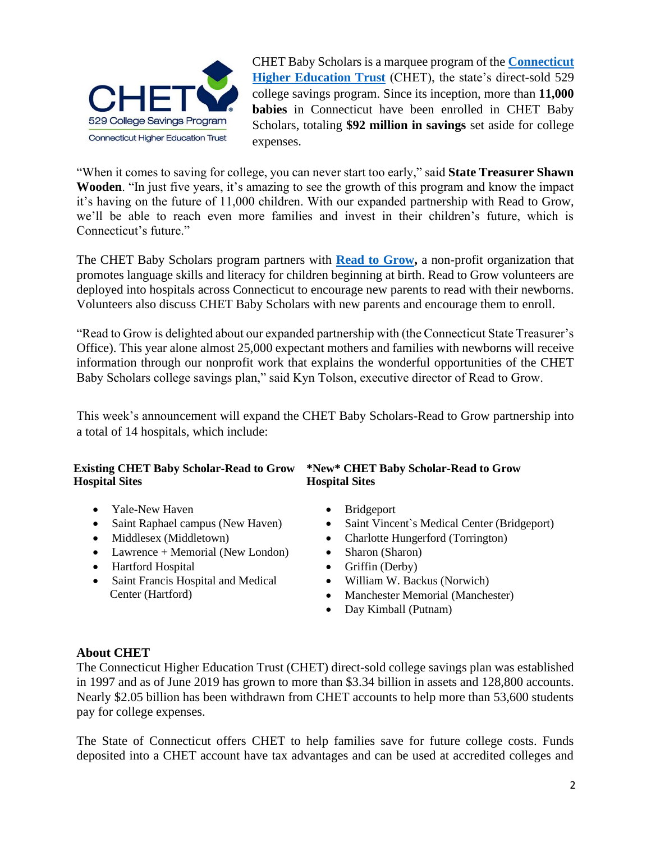

CHET Baby Scholars is a marquee program of the **[Connecticut](http://www.aboutchet.com/)  [Higher Education Trust](http://www.aboutchet.com/)** (CHET), the state's direct-sold 529 college savings program. Since its inception, more than **11,000 babies** in Connecticut have been enrolled in CHET Baby Scholars, totaling **\$92 million in savings** set aside for college expenses.

"When it comes to saving for college, you can never start too early," said **State Treasurer Shawn Wooden**. "In just five years, it's amazing to see the growth of this program and know the impact it's having on the future of 11,000 children. With our expanded partnership with Read to Grow, we'll be able to reach even more families and invest in their children's future, which is Connecticut's future."

The CHET Baby Scholars program partners with **[Read to Grow,](https://readtogrow.org/)** a non-profit organization that promotes language skills and literacy for children beginning at birth. Read to Grow volunteers are deployed into hospitals across Connecticut to encourage new parents to read with their newborns. Volunteers also discuss CHET Baby Scholars with new parents and encourage them to enroll.

"Read to Grow is delighted about our expanded partnership with (the Connecticut State Treasurer's Office). This year alone almost 25,000 expectant mothers and families with newborns will receive information through our nonprofit work that explains the wonderful opportunities of the CHET Baby Scholars college savings plan," said Kyn Tolson, executive director of Read to Grow.

This week's announcement will expand the CHET Baby Scholars-Read to Grow partnership into a total of 14 hospitals, which include:

#### **Existing CHET Baby Scholar-Read to Grow Hospital Sites**

- Yale-New Haven Bridgeport
- 
- 
- Lawrence + Memorial (New London) Sharon (Sharon)
- Hartford Hospital Griffin (Derby)
- Saint Francis Hospital and Medical William W. Backus (Norwich)

### **\*New\* CHET Baby Scholar-Read to Grow Hospital Sites**

- 
- Saint Raphael campus (New Haven) Saint Vincent`s Medical Center (Bridgeport)
- Middlesex (Middletown) Charlotte Hungerford (Torrington)
	-
	-
	-
	- Center (Hartford) Manchester Memorial (Manchester)
		- Day Kimball (Putnam)

#### **About CHET**

The Connecticut Higher Education Trust (CHET) direct-sold college savings plan was established in 1997 and as of June 2019 has grown to more than \$3.34 billion in assets and 128,800 accounts. Nearly \$2.05 billion has been withdrawn from CHET accounts to help more than 53,600 students pay for college expenses.

The State of Connecticut offers CHET to help families save for future college costs. Funds deposited into a CHET account have tax advantages and can be used at accredited colleges and